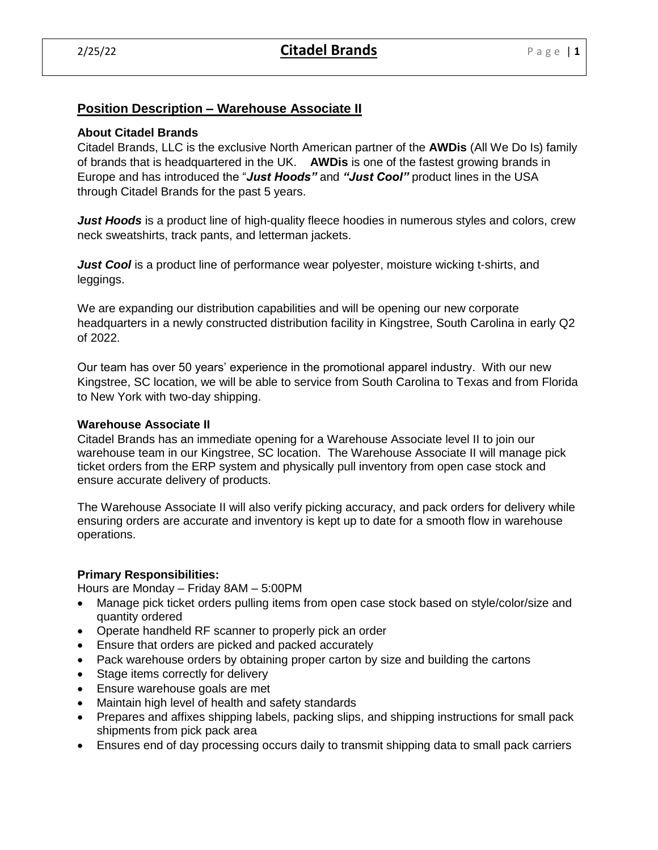# **Position Description – Warehouse Associate II**

## **About Citadel Brands**

Citadel Brands, LLC is the exclusive North American partner of the **AWDis** (All We Do Is) family of brands that is headquartered in the UK. **AWDis** is one of the fastest growing brands in Europe and has introduced the "*Just Hoods"* and *"Just Cool"* product lines in the USA through Citadel Brands for the past 5 years.

*Just Hoods* is a product line of high-quality fleece hoodies in numerous styles and colors, crew neck sweatshirts, track pants, and letterman jackets.

*Just Cool* is a product line of performance wear polyester, moisture wicking t-shirts, and leggings.

We are expanding our distribution capabilities and will be opening our new corporate headquarters in a newly constructed distribution facility in Kingstree, South Carolina in early Q2 of 2022.

Our team has over 50 years' experience in the promotional apparel industry. With our new Kingstree, SC location, we will be able to service from South Carolina to Texas and from Florida to New York with two-day shipping.

#### **Warehouse Associate II**

Citadel Brands has an immediate opening for a Warehouse Associate level II to join our warehouse team in our Kingstree, SC location. The Warehouse Associate II will manage pick ticket orders from the ERP system and physically pull inventory from open case stock and ensure accurate delivery of products.

The Warehouse Associate II will also verify picking accuracy, and pack orders for delivery while ensuring orders are accurate and inventory is kept up to date for a smooth flow in warehouse operations.

## **Primary Responsibilities:**

Hours are Monday – Friday 8AM – 5:00PM

- Manage pick ticket orders pulling items from open case stock based on style/color/size and quantity ordered
- Operate handheld RF scanner to properly pick an order
- Ensure that orders are picked and packed accurately
- Pack warehouse orders by obtaining proper carton by size and building the cartons
- Stage items correctly for delivery
- Ensure warehouse goals are met
- Maintain high level of health and safety standards
- Prepares and affixes shipping labels, packing slips, and shipping instructions for small pack shipments from pick pack area
- Ensures end of day processing occurs daily to transmit shipping data to small pack carriers